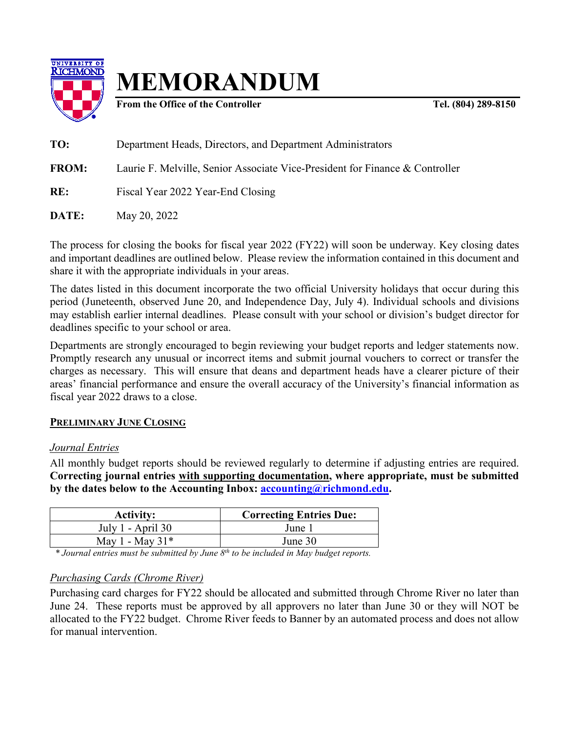

**MEMORANDUM**

**From the Office of the Controller Tel. (804) 289-8150** 

**TO:** Department Heads, Directors, and Department Administrators **FROM:** Laurie F. Melville, Senior Associate Vice-President for Finance & Controller **RE:** Fiscal Year 2022 Year-End Closing **DATE:** May 20, 2022

The process for closing the books for fiscal year 2022 (FY22) will soon be underway. Key closing dates and important deadlines are outlined below. Please review the information contained in this document and share it with the appropriate individuals in your areas.

The dates listed in this document incorporate the two official University holidays that occur during this period (Juneteenth, observed June 20, and Independence Day, July 4). Individual schools and divisions may establish earlier internal deadlines. Please consult with your school or division's budget director for deadlines specific to your school or area.

Departments are strongly encouraged to begin reviewing your budget reports and ledger statements now. Promptly research any unusual or incorrect items and submit journal vouchers to correct or transfer the charges as necessary. This will ensure that deans and department heads have a clearer picture of their areas' financial performance and ensure the overall accuracy of the University's financial information as fiscal year 2022 draws to a close.

## **PRELIMINARY JUNE CLOSING**

## *Journal Entries*

All monthly budget reports should be reviewed regularly to determine if adjusting entries are required. **Correcting journal entries with supporting documentation, where appropriate, must be submitted by the dates below to the Accounting Inbox: [accounting@richmond.edu.](mailto:accounting@richmond.edu)**

| <b>Activity:</b>  | <b>Correcting Entries Due:</b> |
|-------------------|--------------------------------|
| July 1 - April 30 | June                           |
| May 1 - May $31*$ | June 30                        |

*\* Journal entries must be submitted by June 8th to be included in May budget reports.*

## *Purchasing Cards (Chrome River)*

Purchasing card charges for FY22 should be allocated and submitted through Chrome River no later than June 24. These reports must be approved by all approvers no later than June 30 or they will NOT be allocated to the FY22 budget. Chrome River feeds to Banner by an automated process and does not allow for manual intervention.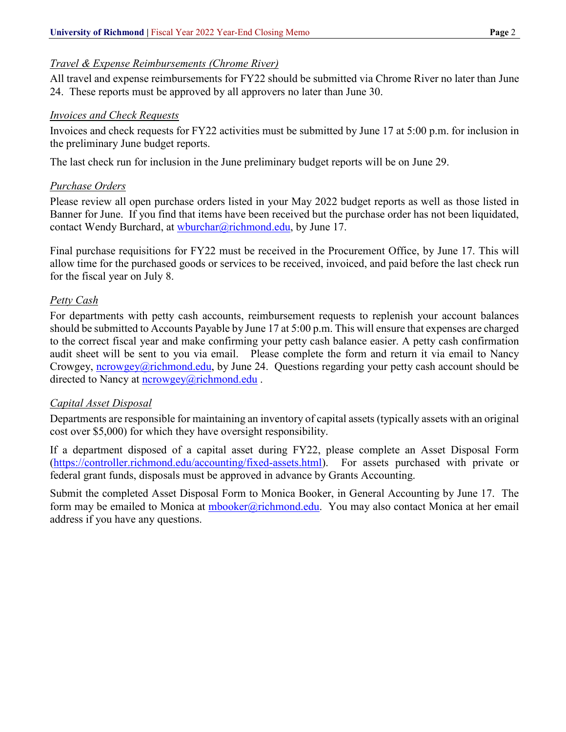## *Travel & Expense Reimbursements (Chrome River)*

All travel and expense reimbursements for FY22 should be submitted via Chrome River no later than June 24. These reports must be approved by all approvers no later than June 30.

#### *Invoices and Check Requests*

Invoices and check requests for FY22 activities must be submitted by June 17 at 5:00 p.m. for inclusion in the preliminary June budget reports.

The last check run for inclusion in the June preliminary budget reports will be on June 29.

## *Purchase Orders*

Please review all open purchase orders listed in your May 2022 budget reports as well as those listed in Banner for June. If you find that items have been received but the purchase order has not been liquidated, contact Wendy Burchard, at [wburchar@richmond.edu,](mailto:wburchar@richmond.edu) by June 17.

Final purchase requisitions for FY22 must be received in the Procurement Office, by June 17. This will allow time for the purchased goods or services to be received, invoiced, and paid before the last check run for the fiscal year on July 8.

## *Petty Cash*

For departments with petty cash accounts, reimbursement requests to replenish your account balances should be submitted to Accounts Payable by June 17 at 5:00 p.m. This will ensure that expenses are charged to the correct fiscal year and make confirming your petty cash balance easier. A petty cash confirmation audit sheet will be sent to you via email. Please complete the form and return it via email to Nancy Crowgey, [ncrowgey@richmond.edu,](mailto:ncrowgey@richmond.edu) by June 24. Questions regarding your petty cash account should be directed to Nancy at [ncrowgey@richmond.edu](mailto:ncrowgey@richmond.edu).

## *Capital Asset Disposal*

Departments are responsible for maintaining an inventory of capital assets (typically assets with an original cost over \$5,000) for which they have oversight responsibility.

If a department disposed of a capital asset during FY22, please complete an Asset Disposal Form [\(https://controller.richmond.edu/accounting/fixed-assets.html\)](https://controller.richmond.edu/accounting/fixed-assets.html). For assets purchased with private or federal grant funds, disposals must be approved in advance by Grants Accounting.

Submit the completed Asset Disposal Form to Monica Booker, in General Accounting by June 17. The form may be emailed to Monica at [mbooker@richmond.edu.](mailto:mbooker@richmond.edu) You may also contact Monica at her email address if you have any questions.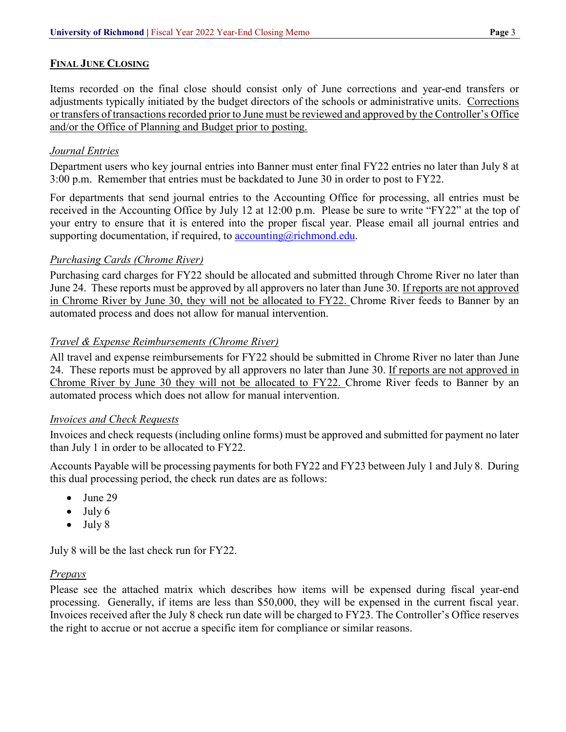## **FINAL JUNE CLOSING**

Items recorded on the final close should consist only of June corrections and year-end transfers or adjustments typically initiated by the budget directors of the schools or administrative units. Corrections or transfers of transactions recorded prior to June must be reviewed and approved by the Controller's Office and/or the Office of Planning and Budget prior to posting.

## *Journal Entries*

Department users who key journal entries into Banner must enter final FY22 entries no later than July 8 at 3:00 p.m. Remember that entries must be backdated to June 30 in order to post to FY22.

For departments that send journal entries to the Accounting Office for processing, all entries must be received in the Accounting Office by July 12 at 12:00 p.m. Please be sure to write "FY22" at the top of your entry to ensure that it is entered into the proper fiscal year. Please email all journal entries and supporting documentation, if required, to accounting  $@$  richmond.edu.

## *Purchasing Cards (Chrome River)*

Purchasing card charges for FY22 should be allocated and submitted through Chrome River no later than June 24. These reports must be approved by all approvers no later than June 30. If reports are not approved in Chrome River by June 30, they will not be allocated to FY22. Chrome River feeds to Banner by an automated process and does not allow for manual intervention.

## *Travel & Expense Reimbursements (Chrome River)*

All travel and expense reimbursements for FY22 should be submitted in Chrome River no later than June 24. These reports must be approved by all approvers no later than June 30. If reports are not approved in Chrome River by June 30 they will not be allocated to FY22. Chrome River feeds to Banner by an automated process which does not allow for manual intervention.

## *Invoices and Check Requests*

Invoices and check requests (including online forms) must be approved and submitted for payment no later than July 1 in order to be allocated to FY22.

Accounts Payable will be processing payments for both FY22 and FY23 between July 1 and July 8. During this dual processing period, the check run dates are as follows:

- June 29
- $\bullet$  July 6
- July 8

July 8 will be the last check run for FY22.

## *Prepays*

Please see the attached matrix which describes how items will be expensed during fiscal year-end processing. Generally, if items are less than \$50,000, they will be expensed in the current fiscal year. Invoices received after the July 8 check run date will be charged to FY23. The Controller's Office reserves the right to accrue or not accrue a specific item for compliance or similar reasons.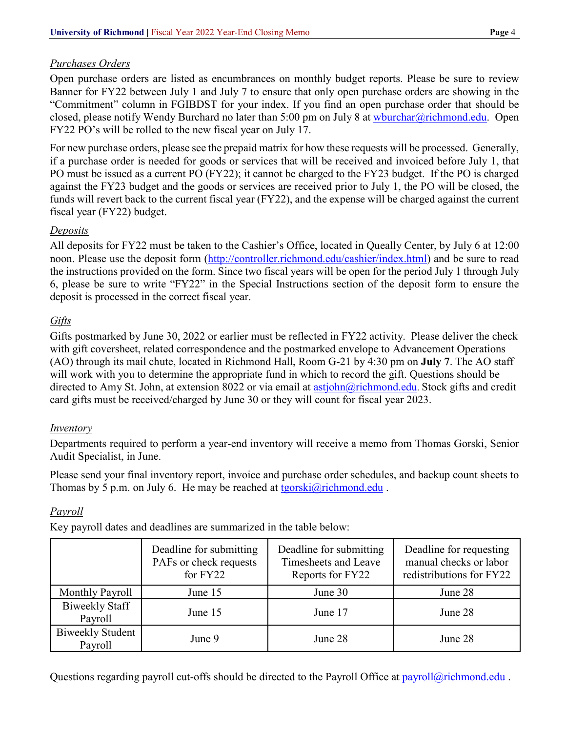## *Purchases Orders*

Open purchase orders are listed as encumbrances on monthly budget reports. Please be sure to review Banner for FY22 between July 1 and July 7 to ensure that only open purchase orders are showing in the "Commitment" column in FGIBDST for your index. If you find an open purchase order that should be closed, please notify Wendy Burchard no later than 5:00 pm on July 8 at [wburchar@richmond.edu.](mailto:wburchar@richmond.edu) Open FY22 PO's will be rolled to the new fiscal year on July 17.

For new purchase orders, please see the prepaid matrix for how these requests will be processed. Generally, if a purchase order is needed for goods or services that will be received and invoiced before July 1, that PO must be issued as a current PO (FY22); it cannot be charged to the FY23 budget. If the PO is charged against the FY23 budget and the goods or services are received prior to July 1, the PO will be closed, the funds will revert back to the current fiscal year (FY22), and the expense will be charged against the current fiscal year (FY22) budget.

## *Deposits*

All deposits for FY22 must be taken to the Cashier's Office, located in Queally Center, by July 6 at 12:00 noon. Please use the deposit form [\(http://controller.richmond.edu/cashier/index.html\)](http://controller.richmond.edu/cashier/index.html) and be sure to read the instructions provided on the form. Since two fiscal years will be open for the period July 1 through July 6, please be sure to write "FY22" in the Special Instructions section of the deposit form to ensure the deposit is processed in the correct fiscal year.

# *Gifts*

Gifts postmarked by June 30, 2022 or earlier must be reflected in FY22 activity. Please deliver the check with gift coversheet, related correspondence and the postmarked envelope to Advancement Operations (AO) through its mail chute, located in Richmond Hall, Room G-21 by 4:30 pm on **July 7**. The AO staff will work with you to determine the appropriate fund in which to record the gift. Questions should be directed to Amy St. John, at extension 8022 or via email at [astjohn@richmond.edu.](mailto:astjohn@richmond.edu) Stock gifts and credit card gifts must be received/charged by June 30 or they will count for fiscal year 2023.

# *Inventory*

Departments required to perform a year-end inventory will receive a memo from Thomas Gorski, Senior Audit Specialist, in June.

Please send your final inventory report, invoice and purchase order schedules, and backup count sheets to Thomas by 5 p.m. on July 6. He may be reached at [tgorski@richmond.edu](mailto:tgorski@richmond.edu).

# *Payroll*

Key payroll dates and deadlines are summarized in the table below:

|                                    | Deadline for submitting<br>PAFs or check requests<br>for FY22 | Deadline for submitting<br>Timesheets and Leave<br>Reports for FY22 | Deadline for requesting<br>manual checks or labor<br>redistributions for FY22 |
|------------------------------------|---------------------------------------------------------------|---------------------------------------------------------------------|-------------------------------------------------------------------------------|
| Monthly Payroll                    | June 15                                                       | June 30                                                             | June 28                                                                       |
| <b>Biweekly Staff</b><br>Payroll   | June 15                                                       | June 17                                                             | June 28                                                                       |
| <b>Biweekly Student</b><br>Payroll | June 9                                                        | June 28                                                             | June 28                                                                       |

Questions regarding payroll cut-offs should be directed to the Payroll Office at [payroll@richmond.edu](mailto:payroll@richmond.edu) .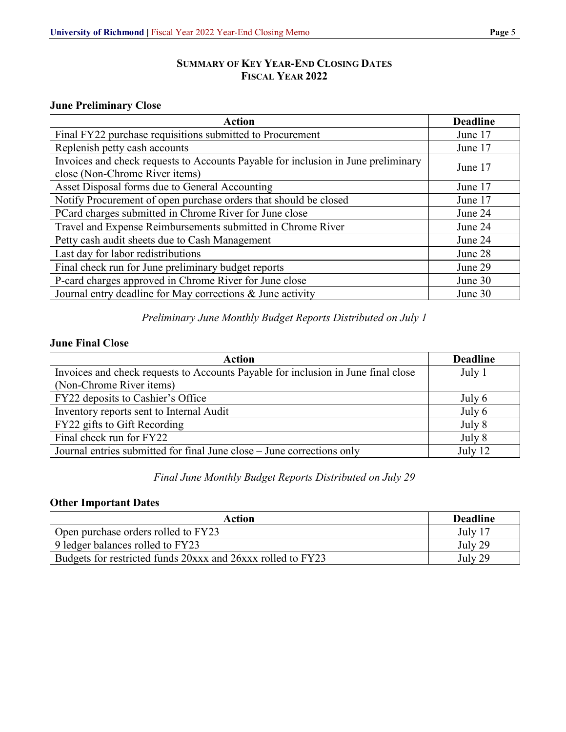## **SUMMARY OF KEY YEAR-END CLOSING DATES FISCAL YEAR 2022**

## **June Preliminary Close**

| <b>Action</b>                                                                                                       | <b>Deadline</b> |
|---------------------------------------------------------------------------------------------------------------------|-----------------|
| Final FY22 purchase requisitions submitted to Procurement                                                           | June 17         |
| Replenish petty cash accounts                                                                                       | June 17         |
| Invoices and check requests to Accounts Payable for inclusion in June preliminary<br>close (Non-Chrome River items) | June 17         |
| Asset Disposal forms due to General Accounting                                                                      | June 17         |
| Notify Procurement of open purchase orders that should be closed                                                    | June 17         |
| PCard charges submitted in Chrome River for June close                                                              | June 24         |
| Travel and Expense Reimbursements submitted in Chrome River                                                         | June 24         |
| Petty cash audit sheets due to Cash Management                                                                      | June 24         |
| Last day for labor redistributions                                                                                  | June 28         |
| Final check run for June preliminary budget reports                                                                 | June 29         |
| P-card charges approved in Chrome River for June close                                                              | June 30         |
| Journal entry deadline for May corrections & June activity                                                          | June 30         |

# *Preliminary June Monthly Budget Reports Distributed on July 1*

## **June Final Close**

| <b>Action</b>                                                                     | <b>Deadline</b> |
|-----------------------------------------------------------------------------------|-----------------|
| Invoices and check requests to Accounts Payable for inclusion in June final close | July 1          |
| (Non-Chrome River items)                                                          |                 |
| FY22 deposits to Cashier's Office                                                 | July 6          |
| Inventory reports sent to Internal Audit                                          | July 6          |
| FY22 gifts to Gift Recording                                                      | July 8          |
| Final check run for FY22                                                          | July 8          |
| Journal entries submitted for final June close – June corrections only            | July 12         |

## *Final June Monthly Budget Reports Distributed on July 29*

#### **Other Important Dates**

| Action                                                      | <b>Deadline</b> |
|-------------------------------------------------------------|-----------------|
| Open purchase orders rolled to FY23                         | July 17         |
| 9 ledger balances rolled to FY23                            | July 29         |
| Budgets for restricted funds 20xxx and 26xxx rolled to FY23 | July 29         |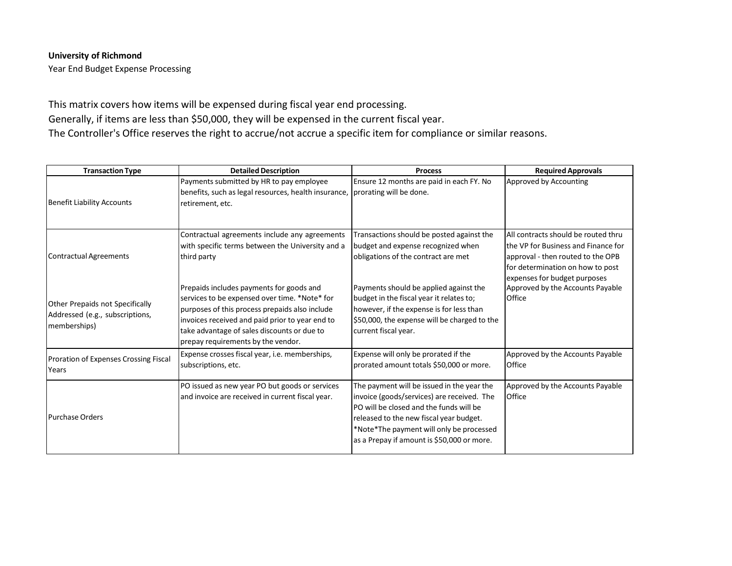#### **University of Richmond**

Year End Budget Expense Processing

This matrix covers how items will be expensed during fiscal year end processing. Generally, if items are less than \$50,000, they will be expensed in the current fiscal year. The Controller's Office reserves the right to accrue/not accrue a specific item for compliance or similar reasons.

| <b>Transaction Type</b>                                                            | <b>Detailed Description</b>                                                                                                                                                                                                                                                         | <b>Process</b>                                                                                                                                                                                                                                                           | <b>Required Approvals</b>                                                                                                                                                           |
|------------------------------------------------------------------------------------|-------------------------------------------------------------------------------------------------------------------------------------------------------------------------------------------------------------------------------------------------------------------------------------|--------------------------------------------------------------------------------------------------------------------------------------------------------------------------------------------------------------------------------------------------------------------------|-------------------------------------------------------------------------------------------------------------------------------------------------------------------------------------|
| <b>Benefit Liability Accounts</b>                                                  | Payments submitted by HR to pay employee<br>benefits, such as legal resources, health insurance,<br>retirement, etc.                                                                                                                                                                | Ensure 12 months are paid in each FY. No<br>prorating will be done.                                                                                                                                                                                                      | Approved by Accounting                                                                                                                                                              |
| <b>Contractual Agreements</b>                                                      | Contractual agreements include any agreements<br>with specific terms between the University and a<br>third party                                                                                                                                                                    | Transactions should be posted against the<br>budget and expense recognized when<br>obligations of the contract are met                                                                                                                                                   | All contracts should be routed thru<br>the VP for Business and Finance for<br>approval - then routed to the OPB<br>for determination on how to post<br>expenses for budget purposes |
| Other Prepaids not Specifically<br>Addressed (e.g., subscriptions,<br>memberships) | Prepaids includes payments for goods and<br>services to be expensed over time. *Note* for<br>purposes of this process prepaids also include<br>invoices received and paid prior to year end to<br>take advantage of sales discounts or due to<br>prepay requirements by the vendor. | Payments should be applied against the<br>budget in the fiscal year it relates to;<br>however, if the expense is for less than<br>\$50,000, the expense will be charged to the<br>current fiscal year.                                                                   | Approved by the Accounts Payable<br>Office                                                                                                                                          |
| Proration of Expenses Crossing Fiscal<br>Years                                     | Expense crosses fiscal year, i.e. memberships,<br>subscriptions, etc.                                                                                                                                                                                                               | Expense will only be prorated if the<br>prorated amount totals \$50,000 or more.                                                                                                                                                                                         | Approved by the Accounts Payable<br>Office                                                                                                                                          |
| <b>Purchase Orders</b>                                                             | PO issued as new year PO but goods or services<br>and invoice are received in current fiscal year.                                                                                                                                                                                  | The payment will be issued in the year the<br>invoice (goods/services) are received. The<br>PO will be closed and the funds will be<br>released to the new fiscal year budget.<br>*Note*The payment will only be processed<br>as a Prepay if amount is \$50,000 or more. | Approved by the Accounts Payable<br>Office                                                                                                                                          |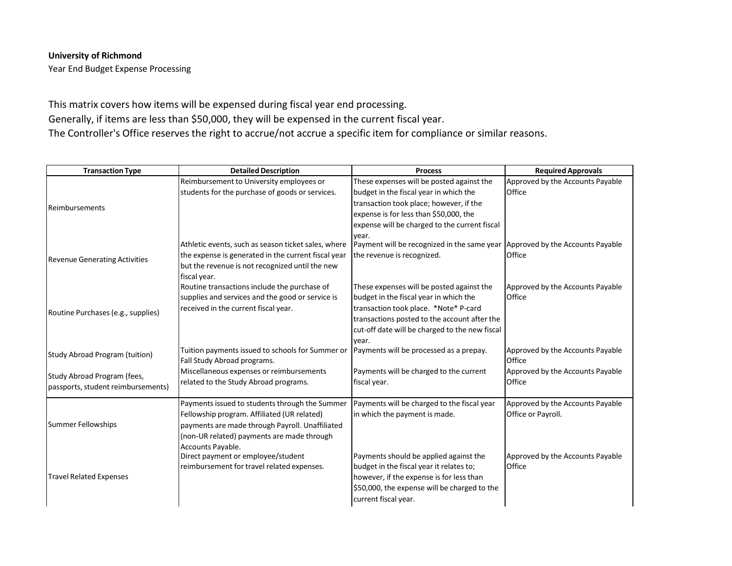#### **University of Richmond**

Year End Budget Expense Processing

This matrix covers how items will be expensed during fiscal year end processing. Generally, if items are less than \$50,000, they will be expensed in the current fiscal year. The Controller's Office reserves the right to accrue/not accrue a specific item for compliance or similar reasons.

| <b>Transaction Type</b>              | <b>Detailed Description</b>                         | <b>Process</b>                                                                        | <b>Required Approvals</b>        |
|--------------------------------------|-----------------------------------------------------|---------------------------------------------------------------------------------------|----------------------------------|
|                                      | Reimbursement to University employees or            | These expenses will be posted against the                                             | Approved by the Accounts Payable |
|                                      | students for the purchase of goods or services.     | budget in the fiscal year in which the                                                | Office                           |
| <b>Reimbursements</b>                |                                                     | transaction took place; however, if the                                               |                                  |
|                                      |                                                     | expense is for less than \$50,000, the                                                |                                  |
|                                      |                                                     | expense will be charged to the current fiscal                                         |                                  |
|                                      |                                                     | year.                                                                                 |                                  |
|                                      | Athletic events, such as season ticket sales, where | Payment will be recognized in the same year Approved by the Accounts Payable          |                                  |
| <b>Revenue Generating Activities</b> | the expense is generated in the current fiscal year | the revenue is recognized.                                                            | Office                           |
|                                      | but the revenue is not recognized until the new     |                                                                                       |                                  |
|                                      | fiscal year.                                        |                                                                                       |                                  |
|                                      | Routine transactions include the purchase of        | These expenses will be posted against the                                             | Approved by the Accounts Payable |
|                                      | supplies and services and the good or service is    | budget in the fiscal year in which the                                                | Office                           |
| Routine Purchases (e.g., supplies)   | received in the current fiscal year.                | transaction took place. *Note* P-card<br>transactions posted to the account after the |                                  |
|                                      |                                                     |                                                                                       |                                  |
|                                      |                                                     | cut-off date will be charged to the new fiscal                                        |                                  |
|                                      | Tuition payments issued to schools for Summer or    | year.<br>Payments will be processed as a prepay.                                      | Approved by the Accounts Payable |
| Study Abroad Program (tuition)       | Fall Study Abroad programs.                         |                                                                                       | Office                           |
|                                      | Miscellaneous expenses or reimbursements            | Payments will be charged to the current                                               | Approved by the Accounts Payable |
| Study Abroad Program (fees,          | related to the Study Abroad programs.               | fiscal year.                                                                          | Office                           |
| passports, student reimbursements)   |                                                     |                                                                                       |                                  |
|                                      | Payments issued to students through the Summer      | Payments will be charged to the fiscal year                                           | Approved by the Accounts Payable |
|                                      | Fellowship program. Affiliated (UR related)         | in which the payment is made.                                                         | Office or Payroll.               |
| <b>Summer Fellowships</b>            | payments are made through Payroll. Unaffiliated     |                                                                                       |                                  |
|                                      | (non-UR related) payments are made through          |                                                                                       |                                  |
|                                      | Accounts Payable.                                   |                                                                                       |                                  |
| <b>Travel Related Expenses</b>       | Direct payment or employee/student                  | Payments should be applied against the                                                | Approved by the Accounts Payable |
|                                      | reimbursement for travel related expenses.          | budget in the fiscal year it relates to;                                              | Office                           |
|                                      |                                                     | however, if the expense is for less than                                              |                                  |
|                                      |                                                     | \$50,000, the expense will be charged to the                                          |                                  |
|                                      |                                                     | current fiscal year.                                                                  |                                  |